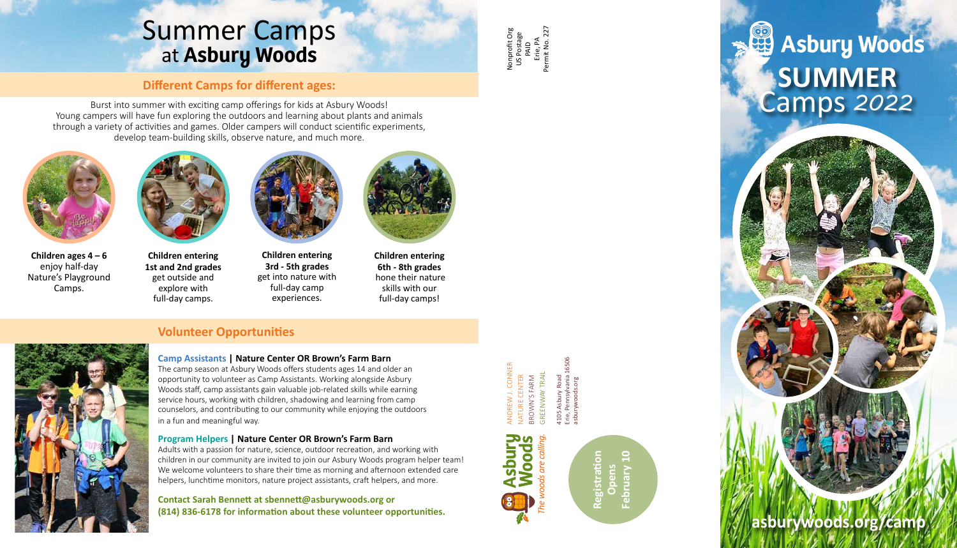## **Program Helpers | Nature Center OR Brown's Farm Barn**

Adults with a passion for nature, science, outdoor recreation, and working with children in our community are invited to join our Asbury Woods program helper team! We welcome volunteers to share their time as morning and afternoon extended care helpers, lunchtime monitors, nature project assistants, craft helpers, and more.

# **Asbury Woods SUMMER** Camps *<sup>2022</sup>*

## **Contact Sarah Bennett at sbennett@asburywoods.org or (814) 836-6178 for information about these volunteer opportunities.**

ANDREW J. CONNER NATURE CENTER BROWN'S FARM GREENWAY TRAIL 4105 Asbury Road Erie, Pennsylvania 16506

Nonprofit Org US Postage PAID Erie, PA Permit No. 227



# Summer Camps at **Asbury Woods**



**Children ages 4 – 6**  enjoy half-day Nature's Playground Camps.



**Children entering 1st and 2nd grades**  get outside and explore with full-day camps.



**Children entering 3rd - 5th grades**  get into nature with full-day camp experiences.



**Children entering 6th - 8th grades**  hone their nature skills with our full-day camps!

## **Volunteer Opportunities**

## **Camp Assistants | Nature Center OR Brown's Farm Barn**

asburywoods.org **Registration Opens** 

The camp season at Asbury Woods offers students ages 14 and older an opportunity to volunteer as Camp Assistants. Working alongside Asbury Woods staff, camp assistants gain valuable job-related skills while earning service hours, working with children, shadowing and learning from camp counselors, and contributing to our community while enjoying the outdoors in a fun and meaningful way.

## **Different Camps for different ages:**

Burst into summer with exciting camp offerings for kids at Asbury Woods! Young campers will have fun exploring the outdoors and learning about plants and animals through a variety of activities and games. Older campers will conduct scientific experiments, develop team-building skills, observe nature, and much more.

**asburywoods.org/camp**

**February 10**